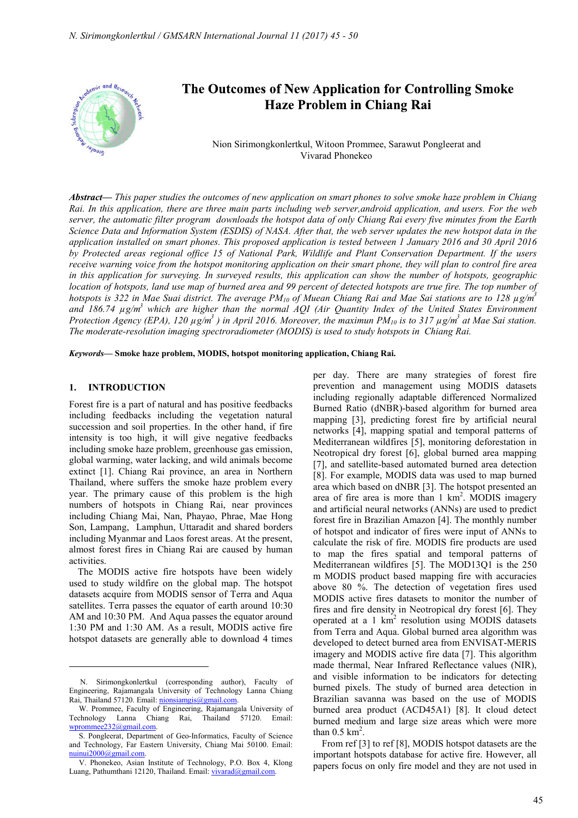

# The Outcomes of New Application for Controlling Smoke **Haze Problem in Chiang Rai**

Nion Sirimongkonlertkul, Witoon Prommee, Sarawut Pongleerat and Vivarad Phonekeo

*Abstract***—** *This paper studies the outcomes of new application on smart phones to solve smoke haze problem in Chiang Rai. In this application, there are three main parts including web server,android application, and users. For the web server, the automatic filter program downloads the hotspot data of only Chiang Rai every five minutes from the Earth Science Data and Information System (ESDIS) of NASA. After that, the web server updates the new hotspot data in the application installed on smart phones. This proposed application is tested between 1 January 2016 and 30 April 2016 by Protected areas regional office 15 of National Park, Wildlife and Plant Conservation Department. If the users receive warning voice from the hotspot monitoring application on their smart phone, they will plan to control fire area in this application for surveying. In surveyed results, this application can show the number of hotspots, geographic location of hotspots, land use map of burned area and 99 percent of detected hotspots are true fire. The top number of hotspots is 322 in Mae Suai district. The average PM10 of Muean Chiang Rai and Mae Sai stations are to 128 µg/m3* and 186.74  $\mu$ g/m<sup>3</sup> which are higher than the normal AQI (Air Quantity Index of the United States Environment *Protection Agency (EPA), 120*  $\mu$ *g/m<sup>3</sup>) in April 2016. Moreover, the maximun PM<sub>10</sub> is to 317*  $\mu$ *g/m<sup>3</sup> at Mae Sai station. The moderate-resolution imaging spectroradiometer (MODIS) is used to study hotspots in Chiang Rai.*

*Keywords***— Smoke haze problem, MODIS, hotspot monitoring application, Chiang Rai.**

### **1. INTRODUCTION**

Forest fire is a part of natural and has positive feedbacks including feedbacks including the vegetation natural succession and soil properties. In the other hand, if fire intensity is too high, it will give negative feedbacks including smoke haze problem, greenhouse gas emission, global warming, water lacking, and wild animals become extinct [1]. Chiang Rai province, an area in Northern Thailand, where suffers the smoke haze problem every year. The primary cause of this problem is the high numbers of hotspots in Chiang Rai, near provinces including Chiang Mai, Nan, Phayao, Phrae, Mae Hong Son, Lampang, Lamphun, Uttaradit and shared borders including Myanmar and Laos forest areas. At the present, almost forest fires in Chiang Rai are caused by human activities.

The MODIS active fire hotspots have been widely used to study wildfire on the global map. The hotspot datasets acquire from MODIS sensor of Terra and Aqua satellites. Terra passes the equator of earth around 10:30 AM and 10:30 PM. And Aqua passes the equator around 1:30 PM and 1:30 AM. As a result, MODIS active fire hotspot datasets are generally able to download 4 times

per day. There are many strategies of forest fire prevention and management using MODIS datasets including regionally adaptable differenced Normalized Burned Ratio (dNBR)-based algorithm for burned area mapping [3], predicting forest fire by artificial neural networks [4], mapping spatial and temporal patterns of Mediterranean wildfires [5], monitoring deforestation in Neotropical dry forest [6], global burned area mapping [7], and satellite-based automated burned area detection [8]. For example, MODIS data was used to map burned area which based on dNBR [3]. The hotspot presented an area of fire area is more than  $1 \text{ km}^2$ . MODIS imagery and artificial neural networks (ANNs) are used to predict forest fire in Brazilian Amazon [4]. The monthly number of hotspot and indicator of fires were input of ANNs to calculate the risk of fire. MODIS fire products are used to map the fires spatial and temporal patterns of Mediterranean wildfires [5]. The MOD13Q1 is the 250 m MODIS product based mapping fire with accuracies above 80 %. The detection of vegetation fires used MODIS active fires datasets to monitor the number of fires and fire density in Neotropical dry forest [6]. They operated at a 1 km<sup>2</sup> resolution using MODIS datasets from Terra and Aqua. Global burned area algorithm was developed to detect burned area from ENVISAT-MERIS imagery and MODIS active fire data [7]. This algorithm made thermal, Near Infrared Reflectance values (NIR), and visible information to be indicators for detecting burned pixels. The study of burned area detection in Brazilian savanna was based on the use of MODIS burned area product (ACD45A1) [8]. It cloud detect burned medium and large size areas which were more than  $0.5 \text{ km}^2$ .

From ref [3] to ref [8], MODIS hotspot datasets are the important hotspots database for active fire. However, all papers focus on only fire model and they are not used in

N. Sirimongkonlertkul (corresponding author), Faculty of Engineering, Rajamangala University of Technology Lanna Chiang Rai, Thailand 57120. Email: nionsiamgis@gmail.com.

W. Prommee, Faculty of Engineering, Rajamangala University of Technology Lanna Chiang Rai, Thailand 57120. Email: wprommee232@gmail.com.

S. Pongleerat, Department of Geo-Informatics, Faculty of Science and Technology, Far Eastern University, Chiang Mai 50100. Email: nuinui2000@gmail.com.

V. Phonekeo, Asian Institute of Technology, P.O. Box 4, Klong Luang, Pathumthani 12120, Thailand. Email: vivarad@gmail.com.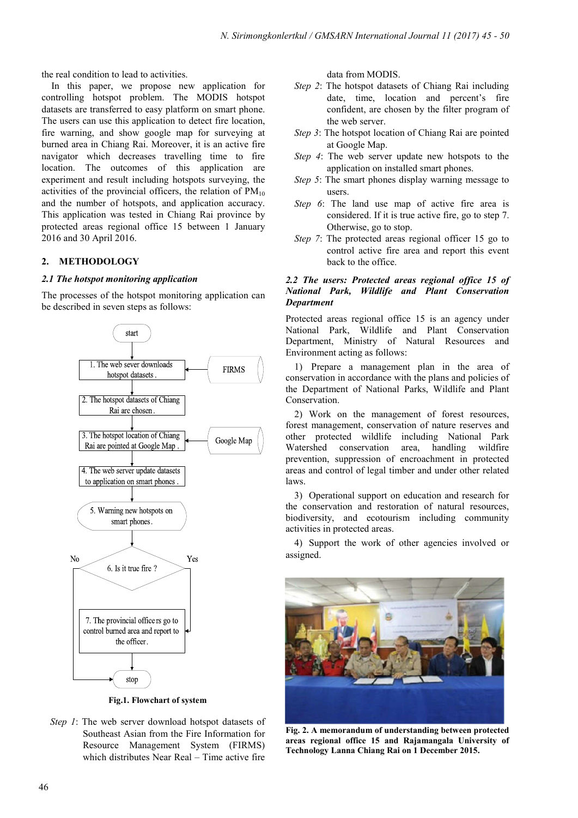the real condition to lead to activities.

In this paper, we propose new application for controlling hotspot problem. The MODIS hotspot datasets are transferred to easy platform on smart phone. The users can use this application to detect fire location, fire warning, and show google map for surveying at burned area in Chiang Rai. Moreover, it is an active fire navigator which decreases travelling time to fire location. The outcomes of this application are experiment and result including hotspots surveying, the activities of the provincial officers, the relation of  $PM_{10}$ and the number of hotspots, and application accuracy. This application was tested in Chiang Rai province by protected areas regional office 15 between 1 January 2016 and 30 April 2016.

# **2. METHODOLOGY**

## *2.1 The hotspot monitoring application*

The processes of the hotspot monitoring application can be described in seven steps as follows:



**Fig.1. Flowchart of system** 

*Step 1*: The web server download hotspot datasets of Southeast Asian from the Fire Information for Resource Management System (FIRMS) which distributes Near Real – Time active fire

data from MODIS.

- *Step 2*: The hotspot datasets of Chiang Rai including date, time, location and percent's fire confident, are chosen by the filter program of the web server.
- *Step 3*: The hotspot location of Chiang Rai are pointed at Google Map.
- *Step 4*: The web server update new hotspots to the application on installed smart phones.
- *Step 5*: The smart phones display warning message to users.
- *Step 6*: The land use map of active fire area is considered. If it is true active fire, go to step 7. Otherwise, go to stop.
- *Step 7*: The protected areas regional officer 15 go to control active fire area and report this event back to the office.

### *2.2 The users: Protected areas regional office 15 of National Park, Wildlife and Plant Conservation Department*

Protected areas regional office 15 is an agency under National Park, Wildlife and Plant Conservation Department, Ministry of Natural Resources and Environment acting as follows:

1) Prepare a management plan in the area of conservation in accordance with the plans and policies of the Department of National Parks, Wildlife and Plant Conservation.

2) Work on the management of forest resources, forest management, conservation of nature reserves and other protected wildlife including National Park Watershed conservation area, handling wildfire prevention, suppression of encroachment in protected areas and control of legal timber and under other related laws.

3) Operational support on education and research for the conservation and restoration of natural resources, biodiversity, and ecotourism including community activities in protected areas.

4) Support the work of other agencies involved or assigned.



**Fig. 2. A memorandum of understanding between protected areas regional office 15 and Rajamangala University of Technology Lanna Chiang Rai on 1 December 2015.**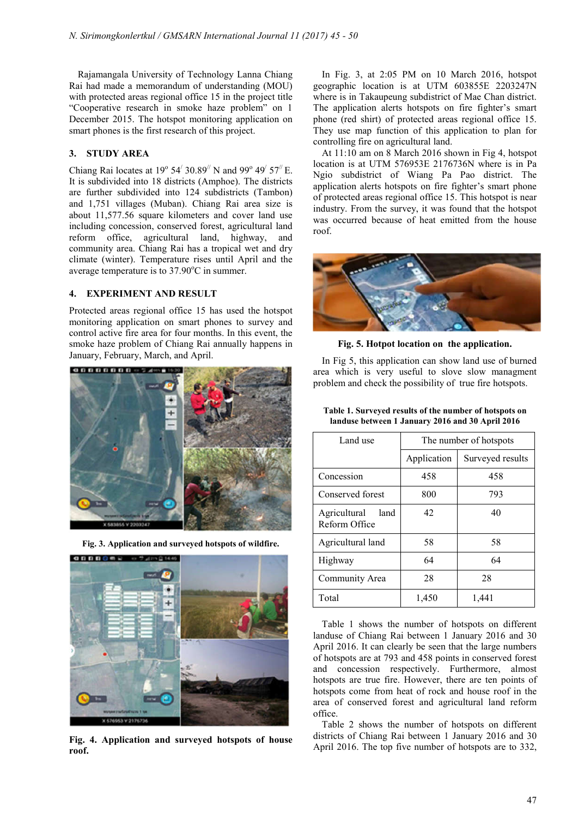Rajamangala University of Technology Lanna Chiang Rai had made a memorandum of understanding (MOU) with protected areas regional office 15 in the project title "Cooperative research in smoke haze problem" on 1 December 2015. The hotspot monitoring application on smart phones is the first research of this project.

# **3. STUDY AREA**

Chiang Rai locates at  $19^{\circ}$  54<sup> $\prime$ </sup> 30.89<sup> $\prime\prime$ </sup> N and 99<sup>°</sup> 49<sup> $\prime$ </sup> 57<sup> $\prime\prime$ </sup> E. It is subdivided into 18 districts (Amphoe). The districts are further subdivided into 124 subdistricts (Tambon) and 1,751 villages (Muban). Chiang Rai area size is about 11,577.56 square kilometers and cover land use including concession, conserved forest, agricultural land reform office, agricultural land, highway, and community area. Chiang Rai has a tropical wet and dry climate (winter). Temperature rises until April and the average temperature is to  $37.90^{\circ}$ C in summer.

#### **4. EXPERIMENT AND RESULT**

Protected areas regional office 15 has used the hotspot monitoring application on smart phones to survey and control active fire area for four months. In this event, the smoke haze problem of Chiang Rai annually happens in January, February, March, and April.







**Fig. 4. Application and surveyed hotspots of house roof.** 

In Fig. 3, at 2:05 PM on 10 March 2016, hotspot geographic location is at UTM 603855E 2203247N where is in Takaupeung subdistrict of Mae Chan district. The application alerts hotspots on fire fighter's smart phone (red shirt) of protected areas regional office 15. They use map function of this application to plan for controlling fire on agricultural land.

At 11:10 am on 8 March 2016 shown in Fig 4, hotspot location is at UTM 576953E 2176736N where is in Pa Ngio subdistrict of Wiang Pa Pao district. The application alerts hotspots on fire fighter's smart phone of protected areas regional office 15. This hotspot is near industry. From the survey, it was found that the hotspot was occurred because of heat emitted from the house roof.



**Fig. 5. Hotpot location on the application.** 

In Fig 5, this application can show land use of burned area which is very useful to slove slow managment problem and check the possibility of true fire hotspots.

| Land use                              | The number of hotspots |                  |
|---------------------------------------|------------------------|------------------|
|                                       | Application            | Surveyed results |
| Concession                            | 458                    | 458              |
| Conserved forest                      | 800                    | 793              |
| Agricultural<br>land<br>Reform Office | 42                     | 40               |
| Agricultural land                     | 58                     | 58               |
| Highway                               | 64                     | 64               |
| Community Area                        | 28                     | 28               |
| Total                                 | 1,450                  | 1,441            |

**Table 1. Surveyed results of the number of hotspots on landuse between 1 January 2016 and 30 April 2016** 

Table 1 shows the number of hotspots on different landuse of Chiang Rai between 1 January 2016 and 30 April 2016. It can clearly be seen that the large numbers of hotspots are at 793 and 458 points in conserved forest and concession respectively. Furthermore, almost hotspots are true fire. However, there are ten points of hotspots come from heat of rock and house roof in the area of conserved forest and agricultural land reform office.

Table 2 shows the number of hotspots on different districts of Chiang Rai between 1 January 2016 and 30 April 2016. The top five number of hotspots are to 332,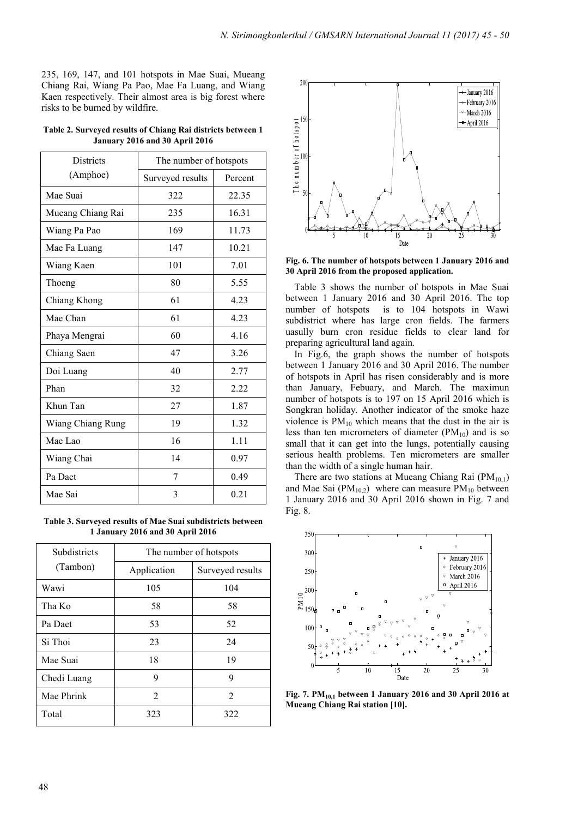235, 169, 147, and 101 hotspots in Mae Suai, Mueang Chiang Rai, Wiang Pa Pao, Mae Fa Luang, and Wiang Kaen respectively. Their almost area is big forest where risks to be burned by wildfire.

| Table 2. Surveyed results of Chiang Rai districts between 1 |
|-------------------------------------------------------------|
| January 2016 and 30 April 2016                              |

| <b>Districts</b>  | The number of hotspots |         |
|-------------------|------------------------|---------|
| (Amphoe)          | Surveyed results       | Percent |
| Mae Suai          | 322                    | 22.35   |
| Mueang Chiang Rai | 235                    | 16.31   |
| Wiang Pa Pao      | 169                    | 11.73   |
| Mae Fa Luang      | 147                    | 10.21   |
| Wiang Kaen        | 101                    | 7.01    |
| Thoeng            | 80                     | 5.55    |
| Chiang Khong      | 61                     | 4.23    |
| Mae Chan          | 61                     | 4.23    |
| Phaya Mengrai     | 60                     | 4.16    |
| Chiang Saen       | 47                     | 3.26    |
| Doi Luang         | 40                     | 2.77    |
| Phan              | 32                     | 2.22    |
| Khun Tan          | 27                     | 1.87    |
| Wiang Chiang Rung | 19                     | 1.32    |
| Mae Lao           | 16                     | 1.11    |
| Wiang Chai        | 14                     | 0.97    |
| Pa Daet           | 7                      | 0.49    |
| Mae Sai           | 3                      | 0.21    |

**Table 3. Surveyed results of Mae Suai subdistricts between 1 January 2016 and 30 April 2016** 

| Subdistricts | The number of hotspots |                  |  |
|--------------|------------------------|------------------|--|
| (Tambon)     | Application            | Surveyed results |  |
| Wawi         | 105                    | 104              |  |
| Tha Ko       | 58                     | 58               |  |
| Pa Daet      | 53                     | 52               |  |
| Si Thoi      | 23                     | 24               |  |
| Mae Suai     | 18                     | 19               |  |
| Chedi Luang  | 9                      | 9                |  |
| Mae Phrink   | $\mathfrak{D}$         | $\mathfrak{D}$   |  |
| Total        | 323                    | 322              |  |



**Fig. 6. The number of hotspots between 1 January 2016 and 30 April 2016 from the proposed application.** 

Table 3 shows the number of hotspots in Mae Suai between 1 January 2016 and 30 April 2016. The top number of hotspots is to 104 hotspots in Wawi subdistrict where has large cron fields. The farmers uasully burn cron residue fields to clear land for preparing agricultural land again.

In Fig.6, the graph shows the number of hotspots between 1 January 2016 and 30 April 2016. The number of hotspots in April has risen considerably and is more than January, Febuary, and March. The maximun number of hotspots is to 197 on 15 April 2016 which is Songkran holiday. Another indicator of the smoke haze violence is  $PM_{10}$  which means that the dust in the air is less than ten micrometers of diameter  $(PM_{10})$  and is so small that it can get into the lungs, potentially causing serious health problems. Ten micrometers are smaller than the width of a single human hair.

There are two stations at Mueang Chiang Rai  $(PM_{10,1})$ and Mae Sai ( $PM_{10,2}$ ) where can measure  $PM_{10}$  between 1 January 2016 and 30 April 2016 shown in Fig. 7 and Fig. 8.



**Fig. 7. PM10,1 between 1 January 2016 and 30 April 2016 at Mueang Chiang Rai station [10].**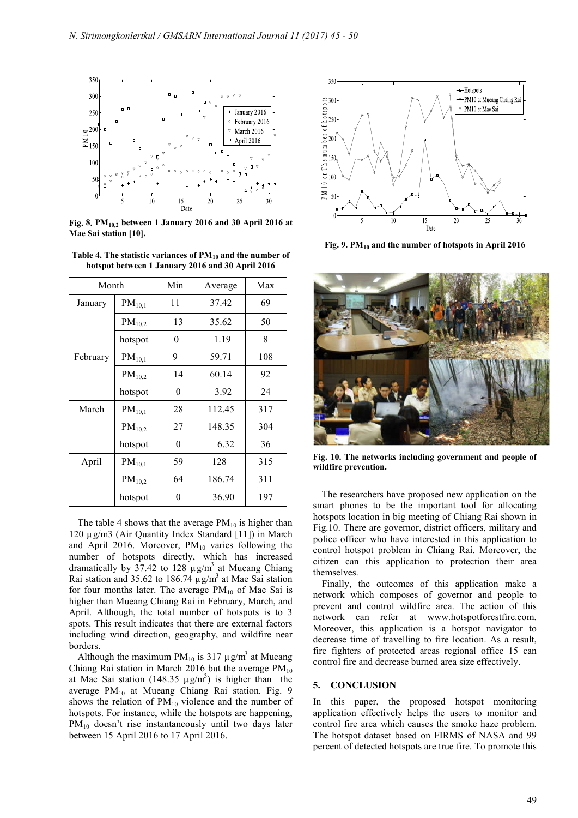

**Fig 8 PM10,2 between 1 January 2016 and 30 April 2016 at Mae Sai station [10].**

| Table 4. The statistic variances of $PM_{10}$ and the number of |
|-----------------------------------------------------------------|
| hotspot between 1 January 2016 and 30 April 2016                |

| Month    |             | Min      | Average | Max |
|----------|-------------|----------|---------|-----|
| January  | $PM_{10,1}$ | 11       | 37.42   | 69  |
|          | $PM_{10,2}$ | 13       | 35.62   | 50  |
|          | hotspot     | $\theta$ | 1.19    | 8   |
| February | $PM_{10,1}$ | 9        | 59.71   | 108 |
|          | $PM_{10,2}$ | 14       | 60.14   | 92  |
|          | hotspot     | $\theta$ | 3.92    | 24  |
| March    | $PM_{10,1}$ | 28       | 112.45  | 317 |
|          | $PM_{10,2}$ | 27       | 148.35  | 304 |
|          | hotspot     | $\theta$ | 6.32    | 36  |
| April    | $PM_{10,1}$ | 59       | 128     | 315 |
|          | $PM_{10,2}$ | 64       | 186.74  | 311 |
|          | hotspot     | 0        | 36.90   | 197 |

The table 4 shows that the average  $PM_{10}$  is higher than 120 µg/m3 (Air Quantity Index Standard [11]) in March and April 2016. Moreover,  $PM_{10}$  varies following the number of hotspots directly, which has increased dramatically by 37.42 to 128  $\mu$  g/m<sup>3</sup> at Mueang Chiang Rai station and 35.62 to 186.74  $\mu$  g/m<sup>3</sup> at Mae Sai station for four months later. The average  $PM_{10}$  of Mae Sai is higher than Mueang Chiang Rai in February, March, and April. Although, the total number of hotspots is to 3 spots. This result indicates that there are external factors including wind direction, geography, and wildfire near borders.

Although the maximum  $PM_{10}$  is 317  $\mu$  g/m<sup>3</sup> at Mueang Chiang Rai station in March 2016 but the average  $PM_{10}$ at Mae Sai station (148.35  $\mu$ g/m<sup>3</sup>) is higher than the average PM<sub>10</sub> at Mueang Chiang Rai station. Fig. 9 shows the relation of  $PM_{10}$  violence and the number of hotspots. For instance, while the hotspots are happening,  $PM_{10}$  doesn't rise instantaneously until two days later between 15 April 2016 to 17 April 2016.



Fig. 9. PM<sub>10</sub> and the number of hotspots in April 2016



**Fig. 10. The networks including government and people of wildfire prevention.** 

The researchers have proposed new application on the smart phones to be the important tool for allocating hotspots location in big meeting of Chiang Rai shown in Fig.10. There are governor, district officers, military and police officer who have interested in this application to control hotspot problem in Chiang Rai. Moreover, the citizen can this application to protection their area themselves.

Finally, the outcomes of this application make a network which composes of governor and people to prevent and control wildfire area. The action of this network can refer at www.hotspotforestfire.com. Moreover, this application is a hotspot navigator to decrease time of travelling to fire location. As a result, fire fighters of protected areas regional office 15 can control fire and decrease burned area size effectively.

#### **5. CONCLUSION**

In this paper, the proposed hotspot monitoring application effectively helps the users to monitor and control fire area which causes the smoke haze problem. The hotspot dataset based on FIRMS of NASA and 99 percent of detected hotspots are true fire. To promote this